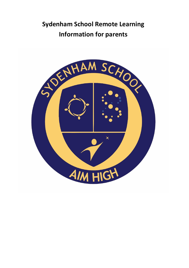# **Sydenham School Remote Learning Information for parents**

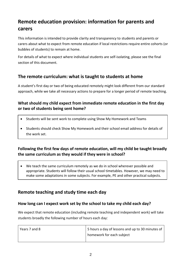## **Remote education provision: information for parents and carers**

This information is intended to provide clarity and transparency to students and parents or carers about what to expect from remote education if local restrictions require entire cohorts (or bubbles of students) to remain at home.

For details of what to expect where individual students are self-isolating, please see the final section of this document.

## **The remote curriculum: what is taught to students at home**

A student's first day or two of being educated remotely might look different from our standard approach, while we take all necessary actions to prepare for a longer period of remote teaching.

#### **What should my child expect from immediate remote education in the first day or two of students being sent home?**

- Students will be sent work to complete using Show My Homework and Teams
- Students should check Show My Homework and their school email address for details of the work set.

#### **Following the first few days of remote education, will my child be taught broadly the same curriculum as they would if they were in school?**

• We teach the same curriculum remotely as we do in school wherever possible and appropriate. Students will follow their usual school timetables. However, we may need to make some adaptations in some subjects. For example, PE and other practical subjects.

## **Remote teaching and study time each day**

#### **How long can I expect work set by the school to take my child each day?**

We expect that remote education (including remote teaching and independent work) will take students broadly the following number of hours each day:

| Years 7 and 8 | 5 hours a day of lessons and up to 30 minutes of |
|---------------|--------------------------------------------------|
|               | homework for each subject                        |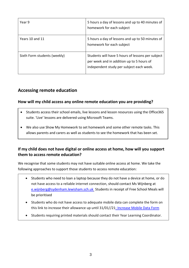| Year 9                       | 5 hours a day of lessons and up to 40 minutes of<br>homework for each subject                                                              |
|------------------------------|--------------------------------------------------------------------------------------------------------------------------------------------|
| Years 10 and 11              | 5 hours a day of lessons and up to 50 minutes of<br>homework for each subject                                                              |
| Sixth Form students (weekly) | Students will have 5 hours of lessons per subject<br>per week and in addition up to 5 hours of<br>independent study per subject each week. |

## **Accessing remote education**

#### **How will my child access any online remote education you are providing?**

- Students access their school emails, live lessons and lesson resources using the Office365 suite. 'Live' lessons are delivered using Microsoft Teams.
- We also use Show My Homework to set homework and some other remote tasks. This allows parents and carers as well as students to see the homework that has been set.

#### **If my child does not have digital or online access at home, how will you support them to access remote education?**

We recognise that some students may not have suitable online access at home. We take the following approaches to support those students to access remote education:

- Students who need to loan a laptop because they do not have a device at home, or do not have access to a reliable internet connection, should contact Ms Wijnberg at [e.wijnberg@sydenham.lewisham.sch.uk](mailto:e.wijnberg@sydenham.lewisham.sch.uk) Students in receipt of Free School Meals will be prioritised
- Students who do not have access to adequate mobile data can complete the form on this link to increase their allowance up until 31/01//2[1: Increase Mobile Data Form](https://forms.office.com/Pages/ResponsePage.aspx?id=h9QAaH_3E0malp8MO6SkLmyjvSkBlQVGhW9ZkET6guFUNkVCUkFCVkpDUExBMzVLVzhFTzVQMFM3OS4u)
- Students requiring printed materials should contact their Year Learning Coordinator.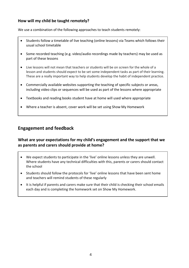#### **How will my child be taught remotely?**

We use a combination of the following approaches to teach students remotely:

- Students follow a timetable of live teaching (online lessons) via Teams which follows their usual school timetable
- Some recorded teaching (e.g. video/audio recordings made by teachers) may be used as part of these lessons
- Live lessons will not mean that teachers or students will be on screen for the whole of a lesson and students should expect to be set some independent tasks as part of their learning. These are a really important way to help students develop the habit of independent practice.
- Commercially available websites supporting the teaching of specific subjects or areas, including video clips or sequences will be used as part of the lessons where appropriate
- Textbooks and reading books student have at home will used where appropriate
- Where a teacher is absent, cover work will be set using Show My Homework

## **Engagement and feedback**

#### **What are your expectations for my child's engagement and the support that we as parents and carers should provide at home?**

- We expect students to participate in the 'live' online lessons unless they are unwell. Where students have any technical difficulties with this, parents or carers should contact the school
- Students should follow the protocols for 'live' online lessons that have been sent home and teachers will remind students of these regularly
- It is helpful if parents and carers make sure that their child is checking their school emails each day and is completing the homework set on Show My Homework.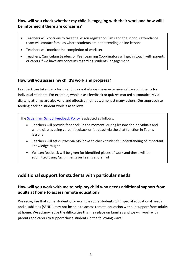#### **How will you check whether my child is engaging with their work and how will I be informed if there are concerns?**

- Teachers will continue to take the lesson register on Sims and the schools attendance team will contact families where students are not attending online lessons
- Teachers will monitor the completion of work set
- Teachers, Curriculum Leaders or Year Learning Coordinators will get in touch with parents or carers if we have any concerns regarding students' engagement.

#### **How will you assess my child's work and progress?**

Feedback can take many forms and may not always mean extensive written comments for individual students. For example, whole-class feedback or quizzes marked automatically via digital platforms are also valid and effective methods, amongst many others. Our approach to feeding back on student work is as follows:

The [Sydenham School Feedback Policy](https://resources.finalsite.net/images/v1605865499/sydenhamlewishamschuk/vghbdpq5qf3ry6begqdg/QualityofEducationPolicyDraft1.pdf) is adapted as follows:

- Teachers will provide feedback 'in the moment' during lessons for individuals and whole classes using verbal feedback or feedback via the chat function in Teams lessons
- Teachers will set quizzes via MSForms to check student's understanding of important knowledge taught
- Written feedback will be given for identified pieces of work and these will be submitted using Assignments on Teams and email

## **Additional support for students with particular needs**

#### **How will you work with me to help my child who needs additional support from adults at home to access remote education?**

We recognise that some students, for example some students with special educational needs and disabilities (SEND), may not be able to access remote education without support from adults at home. We acknowledge the difficulties this may place on families and we will work with parents and carers to support those students in the following ways: